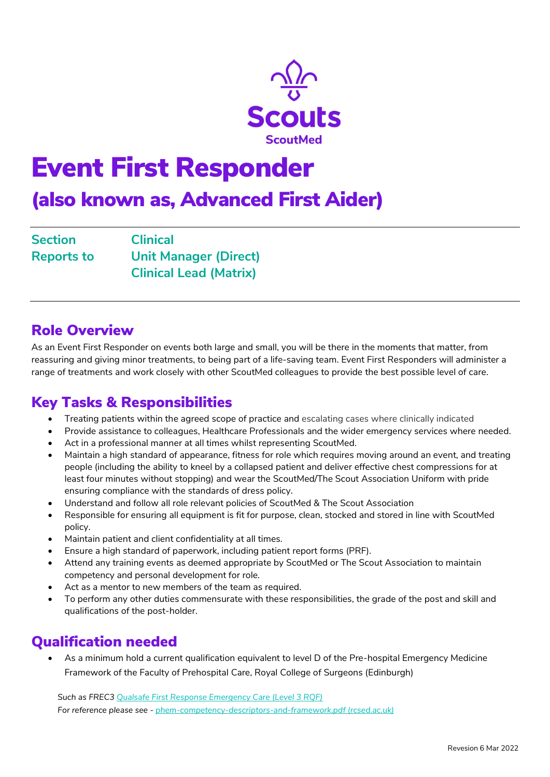

# Event First Responder

(also known as, Advanced First Aider)

| <b>Section</b>    | <b>Clinical</b>               |
|-------------------|-------------------------------|
| <b>Reports to</b> | <b>Unit Manager (Direct)</b>  |
|                   | <b>Clinical Lead (Matrix)</b> |

#### Role Overview

As an Event First Responder on events both large and small, you will be there in the moments that matter, from reassuring and giving minor treatments, to being part of a life-saving team. Event First Responders will administer a range of treatments and work closely with other ScoutMed colleagues to provide the best possible level of care.

#### Key Tasks & Responsibilities

- Treating patients within the agreed scope of practice and escalating cases where clinically indicated
- Provide assistance to colleagues, Healthcare Professionals and the wider emergency services where needed.
- Act in a professional manner at all times whilst representing ScoutMed.
- Maintain a high standard of appearance, fitness for role which requires moving around an event, and treating people (including the ability to kneel by a collapsed patient and deliver effective chest compressions for at least four minutes without stopping) and wear the ScoutMed/The Scout Association Uniform with pride ensuring compliance with the standards of dress policy.
- Understand and follow all role relevant policies of ScoutMed & The Scout Association
- Responsible for ensuring all equipment is fit for purpose, clean, stocked and stored in line with ScoutMed policy.
- Maintain patient and client confidentiality at all times.
- Ensure a high standard of paperwork, including patient report forms (PRF).
- Attend any training events as deemed appropriate by ScoutMed or The Scout Association to maintain competency and personal development for role.
- Act as a mentor to new members of the team as required.
- To perform any other duties commensurate with these responsibilities, the grade of the post and skill and qualifications of the post-holder.

### Qualification needed

 As a minimum hold a current qualification equivalent to level D of the Pre-hospital Emergency Medicine Framework of the Faculty of Prehospital Care, Royal College of Surgeons (Edinburgh)

Such as FREC3 [Qualsafe First Response Emergency Care \(Level 3 RQF\)](https://qualsafeawards.org/qualifications/prehospitalcarequalifications/l3frec/) For reference please see - [phem-competency-descriptors-and-framework.pdf \(rcsed.ac.uk\)](https://fphc.rcsed.ac.uk/media/2911/phem-competency-descriptors-and-framework.pdf)